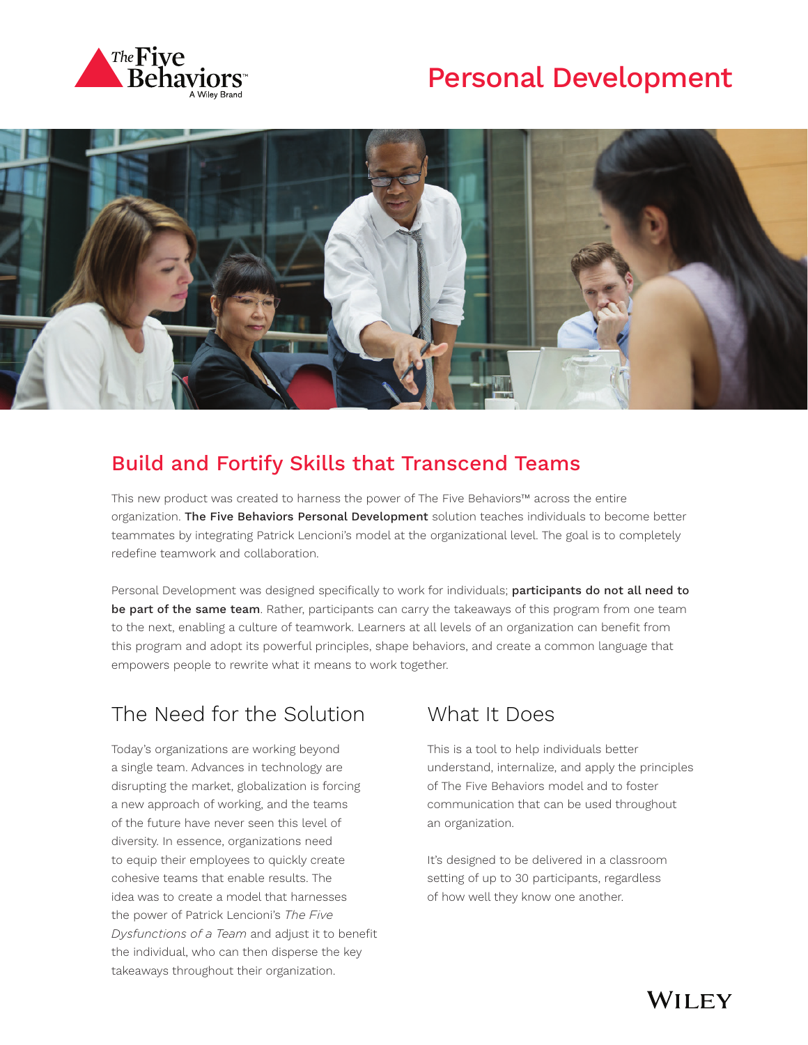





#### Build and Fortify Skills that Transcend Teams

This new product was created to harness the power of The Five Behaviors™ across the entire organization. The Five Behaviors Personal Development solution teaches individuals to become better teammates by integrating Patrick Lencioni's model at the organizational level. The goal is to completely redefine teamwork and collaboration.

Personal Development was designed specifically to work for individuals; participants do not all need to be part of the same team. Rather, participants can carry the takeaways of this program from one team to the next, enabling a culture of teamwork. Learners at all levels of an organization can benefit from this program and adopt its powerful principles, shape behaviors, and create a common language that empowers people to rewrite what it means to work together.

## The Need for the Solution

Today's organizations are working beyond a single team. Advances in technology are disrupting the market, globalization is forcing a new approach of working, and the teams of the future have never seen this level of diversity. In essence, organizations need to equip their employees to quickly create cohesive teams that enable results. The idea was to create a model that harnesses the power of Patrick Lencioni's *The Five Dysfunctions of a Team* and adjust it to benefit the individual, who can then disperse the key takeaways throughout their organization.

#### What It Does

This is a tool to help individuals better understand, internalize, and apply the principles of The Five Behaviors model and to foster communication that can be used throughout an organization.

It's designed to be delivered in a classroom setting of up to 30 participants, regardless of how well they know one another.